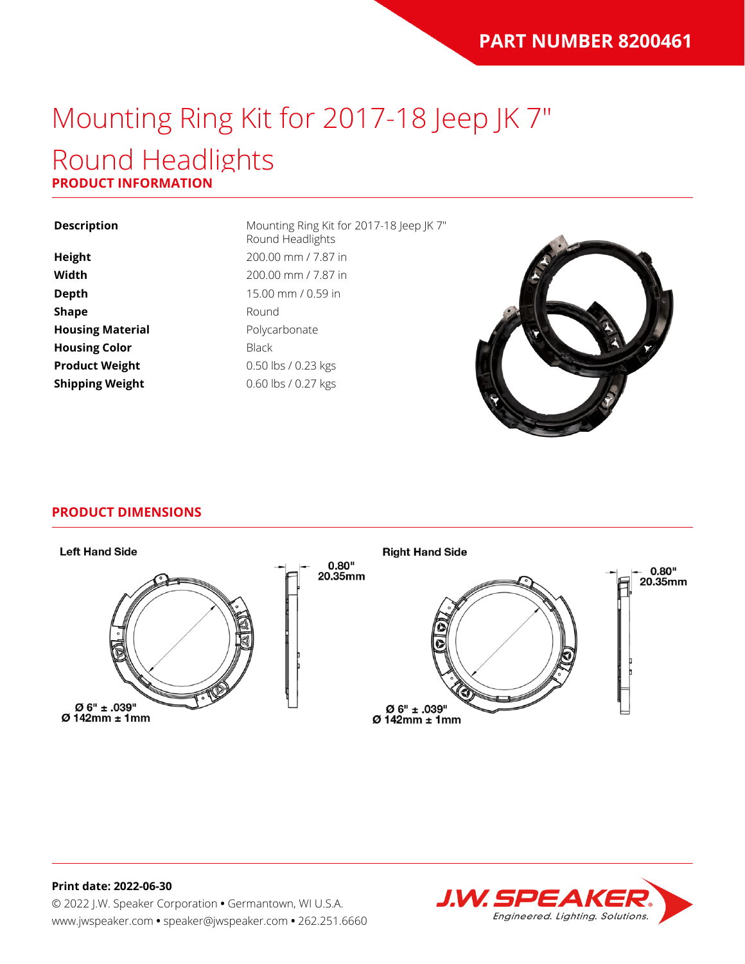### Mounting Ring Kit for 2017-18 Jeep JK 7" Round Headlights **PRODUCT INFORMATION**

| Height                  |
|-------------------------|
| Width                   |
| <b>Depth</b>            |
| <b>Shape</b>            |
| <b>Housing Material</b> |
| <b>Housing Color</b>    |
| <b>Product Weight</b>   |
| <b>Shipping Weight</b>  |

**Description** Mounting Ring Kit for 2017-18 Jeep JK 7" Round Headlights **Height** 200.00 mm / 7.87 in **Width** 200.00 mm / 7.87 in **Depth** 15.00 mm / 0.59 in **Round** Polycarbonate **Black** 0.50 lbs / 0.23 kgs **Shipping Weight** 0.60 lbs / 0.27 kgs



#### **PRODUCT DIMENSIONS**



### **Print date: 2022-06-30** © 2022 J.W. Speaker Corporation **•** Germantown, WI U.S.A. www.jwspeaker.com **•** speaker@jwspeaker.com **•** 262.251.6660

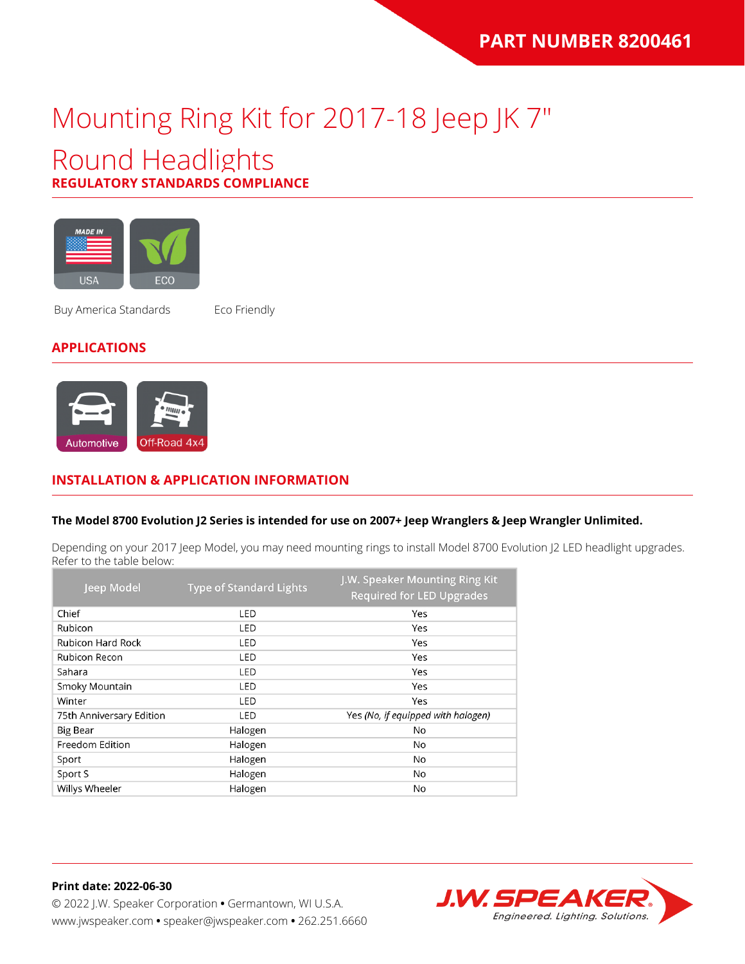# Mounting Ring Kit for 2017-18 Jeep JK 7"

### Round Headlights

**REGULATORY STANDARDS COMPLIANCE**



Buy America Standards Eco Friendly

#### **APPLICATIONS**



### **INSTALLATION & APPLICATION INFORMATION**

#### **The Model 8700 Evolution J2 Series is intended for use on 2007+ Jeep Wranglers & Jeep Wrangler Unlimited.**

Depending on your 2017 Jeep Model, you may need mounting rings to install Model 8700 Evolution J2 LED headlight upgrades. Refer to the table below:

| Jeep Model               | <b>Type of Standard Lights</b> | J.W. Speaker Mounting Ring Kit<br><b>Required for LED Upgrades</b> |
|--------------------------|--------------------------------|--------------------------------------------------------------------|
| Chief                    | LED                            | Yes                                                                |
| Rubicon                  | LED                            | Yes                                                                |
| <b>Rubicon Hard Rock</b> | LED                            | Yes                                                                |
| Rubicon Recon            | LED                            | Yes                                                                |
| Sahara                   | LED                            | Yes                                                                |
| Smoky Mountain           | LED                            | Yes                                                                |
| Winter                   | LED                            | Yes                                                                |
| 75th Anniversary Edition | LED                            | Yes (No, if equipped with halogen)                                 |
| <b>Big Bear</b>          | Halogen                        | No                                                                 |
| Freedom Edition          | Halogen                        | No                                                                 |
| Sport                    | Halogen                        | No                                                                 |
| Sport S                  | Halogen                        | No                                                                 |
| Willys Wheeler           | Halogen                        | No                                                                 |

**Print date: 2022-06-30** © 2022 J.W. Speaker Corporation **•** Germantown, WI U.S.A. www.jwspeaker.com **•** speaker@jwspeaker.com **•** 262.251.6660